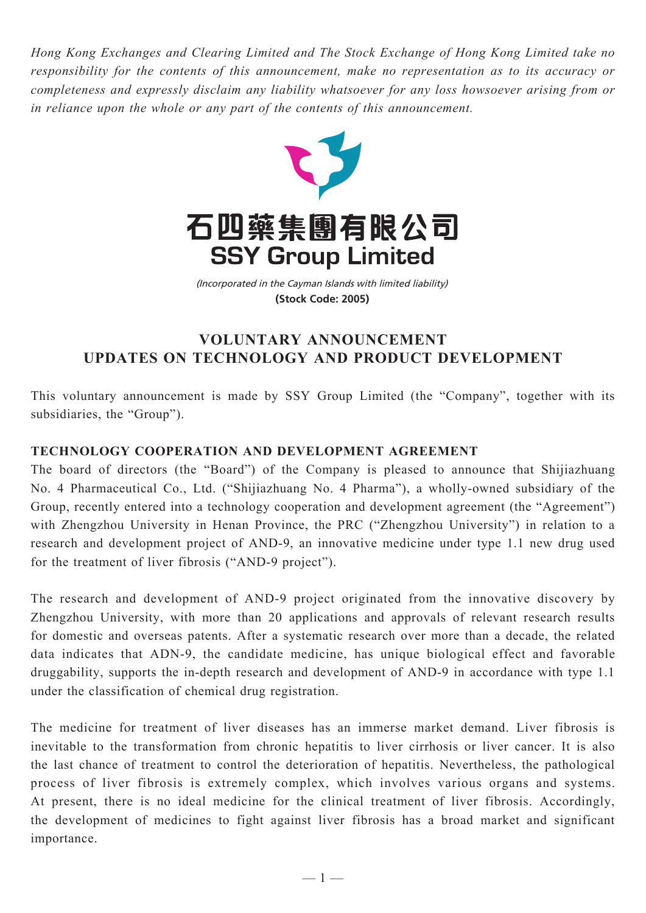*Hong Kong Exchanges and Clearing Limited and The Stock Exchange of Hong Kong Limited take no responsibility for the contents of this announcement, make no representation as to its accuracy or completeness and expressly disclaim any liability whatsoever for any loss howsoever arising from or in reliance upon the whole or any part of the contents of this announcement.*



(Incorporated in the Cayman Islands with limited liability) **(Stock Code: 2005)**

## **VOLUNTARY ANNOUNCEMENT updates on technology and product development**

This voluntary announcement is made by SSY Group Limited (the "Company", together with its subsidiaries, the "Group").

## **Technology Cooperation and Development Agreement**

The board of directors (the "Board") of the Company is pleased to announce that Shijiazhuang No. 4 Pharmaceutical Co., Ltd. ("Shijiazhuang No. 4 Pharma"), a wholly-owned subsidiary of the Group, recently entered into a technology cooperation and development agreement (the "Agreement") with Zhengzhou University in Henan Province, the PRC ("Zhengzhou University") in relation to a research and development project of AND-9, an innovative medicine under type 1.1 new drug used for the treatment of liver fibrosis ("AND-9 project").

The research and development of AND-9 project originated from the innovative discovery by Zhengzhou University, with more than 20 applications and approvals of relevant research results for domestic and overseas patents. After a systematic research over more than a decade, the related data indicates that ADN-9, the candidate medicine, has unique biological effect and favorable druggability, supports the in-depth research and development of AND-9 in accordance with type 1.1 under the classification of chemical drug registration.

The medicine for treatment of liver diseases has an immerse market demand. Liver fibrosis is inevitable to the transformation from chronic hepatitis to liver cirrhosis or liver cancer. It is also the last chance of treatment to control the deterioration of hepatitis. Nevertheless, the pathological process of liver fibrosis is extremely complex, which involves various organs and systems. At present, there is no ideal medicine for the clinical treatment of liver fibrosis. Accordingly, the development of medicines to fight against liver fibrosis has a broad market and significant importance.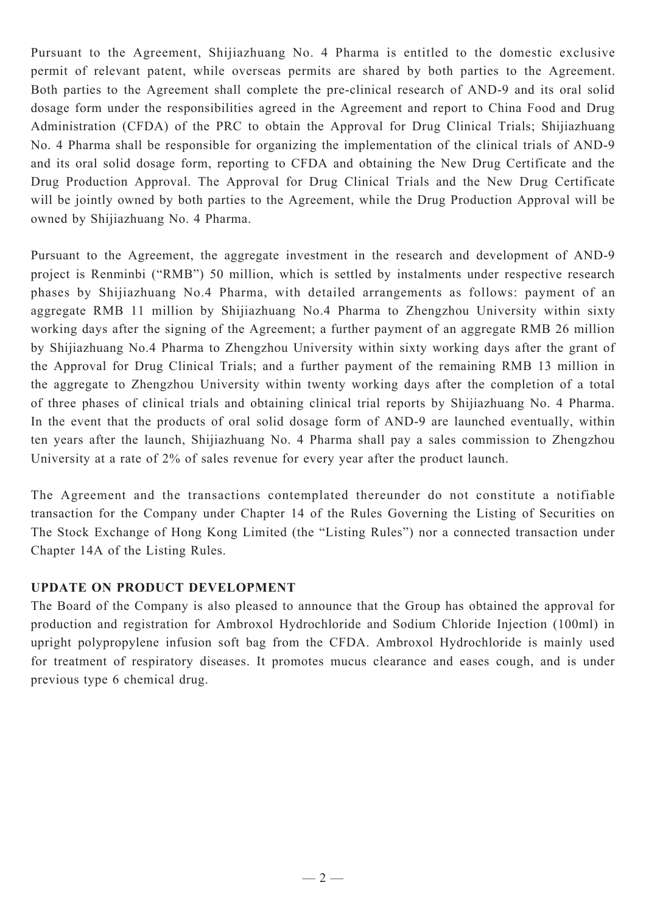Pursuant to the Agreement, Shijiazhuang No. 4 Pharma is entitled to the domestic exclusive permit of relevant patent, while overseas permits are shared by both parties to the Agreement. Both parties to the Agreement shall complete the pre-clinical research of AND-9 and its oral solid dosage form under the responsibilities agreed in the Agreement and report to China Food and Drug Administration (CFDA) of the PRC to obtain the Approval for Drug Clinical Trials; Shijiazhuang No. 4 Pharma shall be responsible for organizing the implementation of the clinical trials of AND-9 and its oral solid dosage form, reporting to CFDA and obtaining the New Drug Certificate and the Drug Production Approval. The Approval for Drug Clinical Trials and the New Drug Certificate will be jointly owned by both parties to the Agreement, while the Drug Production Approval will be owned by Shijiazhuang No. 4 Pharma.

Pursuant to the Agreement, the aggregate investment in the research and development of AND-9 project is Renminbi ("RMB") 50 million, which is settled by instalments under respective research phases by Shijiazhuang No.4 Pharma, with detailed arrangements as follows: payment of an aggregate RMB 11 million by Shijiazhuang No.4 Pharma to Zhengzhou University within sixty working days after the signing of the Agreement; a further payment of an aggregate RMB 26 million by Shijiazhuang No.4 Pharma to Zhengzhou University within sixty working days after the grant of the Approval for Drug Clinical Trials; and a further payment of the remaining RMB 13 million in the aggregate to Zhengzhou University within twenty working days after the completion of a total of three phases of clinical trials and obtaining clinical trial reports by Shijiazhuang No. 4 Pharma. In the event that the products of oral solid dosage form of AND-9 are launched eventually, within ten years after the launch, Shijiazhuang No. 4 Pharma shall pay a sales commission to Zhengzhou University at a rate of 2% of sales revenue for every year after the product launch.

The Agreement and the transactions contemplated thereunder do not constitute a notifiable transaction for the Company under Chapter 14 of the Rules Governing the Listing of Securities on The Stock Exchange of Hong Kong Limited (the "Listing Rules") nor a connected transaction under Chapter 14A of the Listing Rules.

## **Update on Product Development**

The Board of the Company is also pleased to announce that the Group has obtained the approval for production and registration for Ambroxol Hydrochloride and Sodium Chloride Injection (100ml) in upright polypropylene infusion soft bag from the CFDA. Ambroxol Hydrochloride is mainly used for treatment of respiratory diseases. It promotes mucus clearance and eases cough, and is under previous type 6 chemical drug.